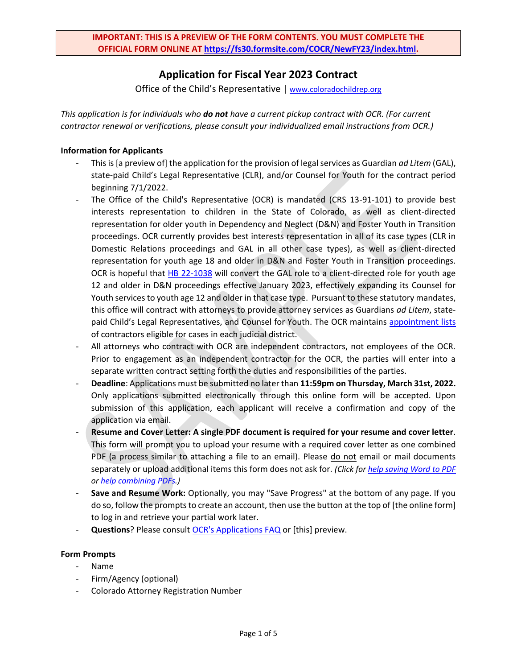# **Application for Fiscal Year 2023 Contract**

Office of the Child's Representative | [www.coloradochildrep.org](http://www.coloradochildrep.org/)

*This application is for individuals who do not have a current pickup contract with OCR. (For current contractor renewal or verifications, please consult your individualized email instructions from OCR.)*

## **Information for Applicants**

- This is [a preview of] the application for the provision of legal services as Guardian *ad Litem* (GAL), state-paid Child's Legal Representative (CLR), and/or Counsel for Youth for the contract period beginning 7/1/2022.
- The Office of the Child's Representative (OCR) is mandated (CRS 13-91-101) to provide best interests representation to children in the State of Colorado, as well as client-directed representation for older youth in Dependency and Neglect (D&N) and Foster Youth in Transition proceedings. OCR currently provides best interests representation in all of its case types (CLR in Domestic Relations proceedings and GAL in all other case types), as well as client-directed representation for youth age 18 and older in D&N and Foster Youth in Transition proceedings. OCR is hopeful that [HB 22-1038](https://leg.colorado.gov/bills/hb22-1038) will convert the GAL role to a client-directed role for youth age 12 and older in D&N proceedings effective January 2023, effectively expanding its Counsel for Youth services to youth age 12 and older in that case type. Pursuant to these statutory mandates, this office will contract with attorneys to provide attorney services as Guardians *ad Litem*, statepaid Child's Legal Representatives, and Counsel for Youth. The OCR maintains [appointment lists](https://coloradochildrep.org/attorney-center/) of contractors eligible for cases in each judicial district.
- All attorneys who contract with OCR are independent contractors, not employees of the OCR. Prior to engagement as an independent contractor for the OCR, the parties will enter into a separate written contract setting forth the duties and responsibilities of the parties.
- **Deadline**: Applications must be submitted no later than **11:59pm on Thursday, March 31st, 2022.**  Only applications submitted electronically through this online form will be accepted. Upon submission of this application, each applicant will receive a confirmation and copy of the application via email.
- **Resume and Cover Letter: A single PDF document is required for your resume and cover letter**. This form will prompt you to upload your resume with a required cover letter as one combined PDF (a process similar to attaching a file to an email). Please do not email or mail documents separately or upload additional items this form does not ask for. *(Click for [help saving Word to PDF](https://www.computerhope.com/issues/ch000925.htm) o[r help combining PDFs.](https://www.cnet.com/how-to/how-to-combine-multiple-pdfs-into-one-document/))*
- **Save and Resume Work:** Optionally, you may "Save Progress" at the bottom of any page. If you do so, follow the prompts to create an account, then use the button at the top of [the online form] to log in and retrieve your partial work later.
- Questions? Please consult **OCR's Applications FAQ** or [this] preview.

#### **Form Prompts**

- Name
- Firm/Agency (optional)
- Colorado Attorney Registration Number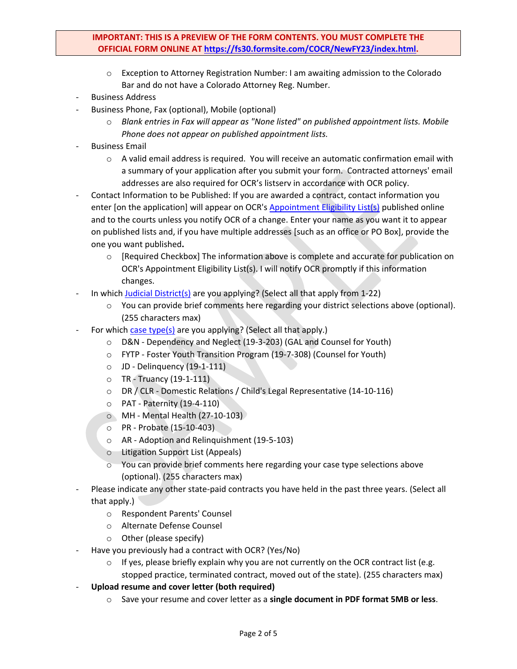# **IMPORTANT: THIS IS A PREVIEW OF THE FORM CONTENTS. YOU MUST COMPLETE THE OFFICIAL FORM ONLINE AT [https://fs30.formsite.com/COCR/NewFY23/index.html.](https://fs30.formsite.com/COCR/NewFY23/index.html)**

- o Exception to Attorney Registration Number: I am awaiting admission to the Colorado Bar and do not have a Colorado Attorney Reg. Number.
- **Business Address**
- Business Phone, Fax (optional), Mobile (optional)
	- o *Blank entries in Fax will appear as "None listed" on published appointment lists. Mobile Phone does not appear on published appointment lists.*
- Business Email
	- $\circ$  A valid email address is required. You will receive an automatic confirmation email with a summary of your application after you submit your form. Contracted attorneys' email addresses are also required for OCR's listserv in accordance with OCR policy.
- Contact Information to be Published: If you are awarded a contract, contact information you enter [on the application] will appear on OCR's [Appointment Eligibility List\(s\)](http://www.coloradochildrep.org/attorney-center/) published online and to the courts unless you notify OCR of a change. Enter your name as you want it to appear on published lists and, if you have multiple addresses [such as an office or PO Box], provide the one you want published**.**
	- o [Required Checkbox] The information above is complete and accurate for publication on OCR's Appointment Eligibility List(s). I will notify OCR promptly if this information changes.
- In which [Judicial District\(s\)](http://www.courts.state.co.us/Courts/Map.cfm) are you applying? (Select all that apply from  $1-22$ )
	- o You can provide brief comments here regarding your district selections above (optional). (255 characters max)
- For which [case type\(s\)](http://www.coloradochildrep.org/ocr-cases/) are you applying? (Select all that apply.)
	- o D&N Dependency and Neglect (19-3-203) (GAL and Counsel for Youth)
	- o FYTP Foster Youth Transition Program (19-7-308) (Counsel for Youth)
	- o JD Delinquency (19-1-111)
	- $\circ$  TR Truancy (19-1-111)
	- o DR / CLR Domestic Relations / Child's Legal Representative (14-10-116)
	- o PAT Paternity (19-4-110)
	- o MH Mental Health (27-10-103)
	- o PR Probate (15-10-403)
	- o AR Adoption and Relinquishment (19-5-103)
	- o Litigation Support List (Appeals)
	- $\circ$  You can provide brief comments here regarding your case type selections above (optional). (255 characters max)
- Please indicate any other state-paid contracts you have held in the past three years. (Select all that apply.)
	- o Respondent Parents' Counsel
	- o Alternate Defense Counsel
	- o Other (please specify)
- Have you previously had a contract with OCR? (Yes/No)
	- $\circ$  If yes, please briefly explain why you are not currently on the OCR contract list (e.g. stopped practice, terminated contract, moved out of the state). (255 characters max)
- **Upload resume and cover letter (both required)**
	- o Save your resume and cover letter as a **single document in PDF format 5MB or less**.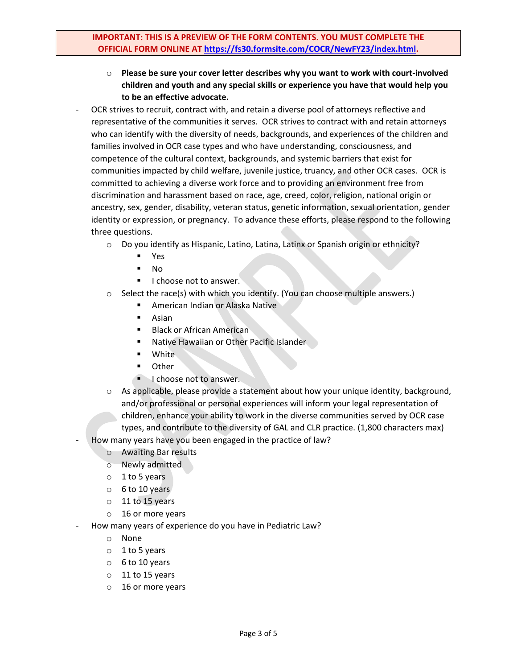- o **Please be sure your cover letter describes why you want to work with court-involved children and youth and any special skills or experience you have that would help you to be an effective advocate.**
- OCR strives to recruit, contract with, and retain a diverse pool of attorneys reflective and representative of the communities it serves. OCR strives to contract with and retain attorneys who can identify with the diversity of needs, backgrounds, and experiences of the children and families involved in OCR case types and who have understanding, consciousness, and competence of the cultural context, backgrounds, and systemic barriers that exist for communities impacted by child welfare, juvenile justice, truancy, and other OCR cases. OCR is committed to achieving a diverse work force and to providing an environment free from discrimination and harassment based on race, age, creed, color, religion, national origin or ancestry, sex, gender, disability, veteran status, genetic information, sexual orientation, gender identity or expression, or pregnancy. To advance these efforts, please respond to the following three questions.
	- o Do you identify as Hispanic, Latino, Latina, Latinx or Spanish origin or ethnicity?
		- Yes
		- No
		- I choose not to answer.
	- $\circ$  Select the race(s) with which you identify. (You can choose multiple answers.)
		- American Indian or Alaska Native
		- Asian
		- Black or African American
		- Native Hawaiian or Other Pacific Islander
		- White
		- Other
		- I choose not to answer.
	- $\circ$  As applicable, please provide a statement about how your unique identity, background, and/or professional or personal experiences will inform your legal representation of children, enhance your ability to work in the diverse communities served by OCR case types, and contribute to the diversity of GAL and CLR practice. (1,800 characters max)
- How many years have you been engaged in the practice of law?
	- o Awaiting Bar results
	- o Newly admitted
	- $0 1$  to 5 years
	- o 6 to 10 years
	- o 11 to 15 years
	- o 16 or more years
- How many years of experience do you have in Pediatric Law?
	- o None
	- $0.1$  to 5 years
	- $0<sub>6</sub>$  to 10 years
	- o 11 to 15 years
	- o 16 or more years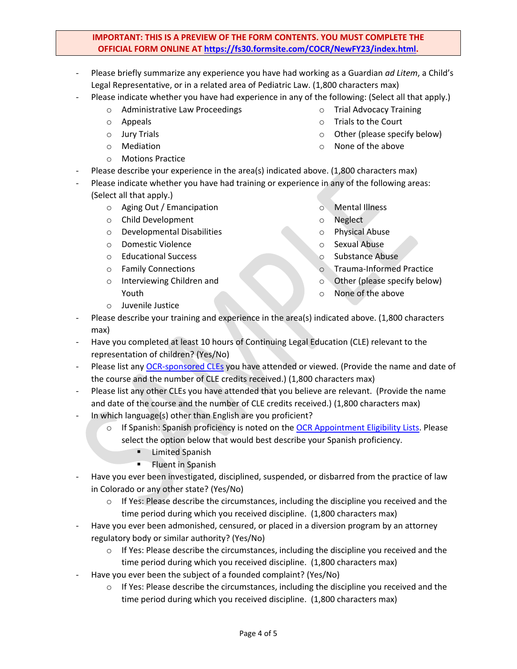# **IMPORTANT: THIS IS A PREVIEW OF THE FORM CONTENTS. YOU MUST COMPLETE THE OFFICIAL FORM ONLINE AT [https://fs30.formsite.com/COCR/NewFY23/index.html.](https://fs30.formsite.com/COCR/NewFY23/index.html)**

- Please briefly summarize any experience you have had working as a Guardian *ad Litem*, a Child's Legal Representative, or in a related area of Pediatric Law. (1,800 characters max)
- Please indicate whether you have had experience in any of the following: (Select all that apply.)
	- o Administrative Law Proceedings
	- o Appeals
	- o Jury Trials
	- o Mediation
	- o Motions Practice
	- Please describe your experience in the area(s) indicated above. (1,800 characters max)
- Please indicate whether you have had training or experience in any of the following areas: (Select all that apply.)
	- o Aging Out / Emancipation
	- o Child Development
	- o Developmental Disabilities
	- o Domestic Violence
	- o Educational Success
	- o Family Connections

o Juvenile Justice

o Interviewing Children and Youth

- o Mental Illness
- o Neglect
- o Physical Abuse
- o Sexual Abuse
- o Substance Abuse
- o Trauma-Informed Practice
- o Other (please specify below)
- o None of the above
- Please describe your training and experience in the area(s) indicated above. (1,800 characters max)
- Have you completed at least 10 hours of Continuing Legal Education (CLE) relevant to the representation of children? (Yes/No)
- Please list any [OCR-sponsored CLEs](http://www.coloradochildrep.org/training/materials/) you have attended or viewed. (Provide the name and date of the course and the number of CLE credits received.) (1,800 characters max)
- Please list any other CLEs you have attended that you believe are relevant. (Provide the name and date of the course and the number of CLE credits received.) (1,800 characters max)
- In which language(s) other than English are you proficient?
	- o If Spanish: Spanish proficiency is noted on the [OCR Appointment Eligibility Lists.](http://www.coloradochildrep.org/attorney-center/) Please select the option below that would best describe your Spanish proficiency.
		- **E** Limited Spanish
		- **EXECUTE:** Fluent in Spanish
- Have you ever been investigated, disciplined, suspended, or disbarred from the practice of law in Colorado or any other state? (Yes/No)
	- $\circ$  If Yes: Please describe the circumstances, including the discipline you received and the time period during which you received discipline. (1,800 characters max)
- Have you ever been admonished, censured, or placed in a diversion program by an attorney regulatory body or similar authority? (Yes/No)
	- $\circ$  If Yes: Please describe the circumstances, including the discipline you received and the time period during which you received discipline. (1,800 characters max)
- Have you ever been the subject of a founded complaint? (Yes/No)
	- $\circ$  If Yes: Please describe the circumstances, including the discipline you received and the time period during which you received discipline. (1,800 characters max)
- o Trial Advocacy Training
- o Trials to the Court
- o Other (please specify below)
- o None of the above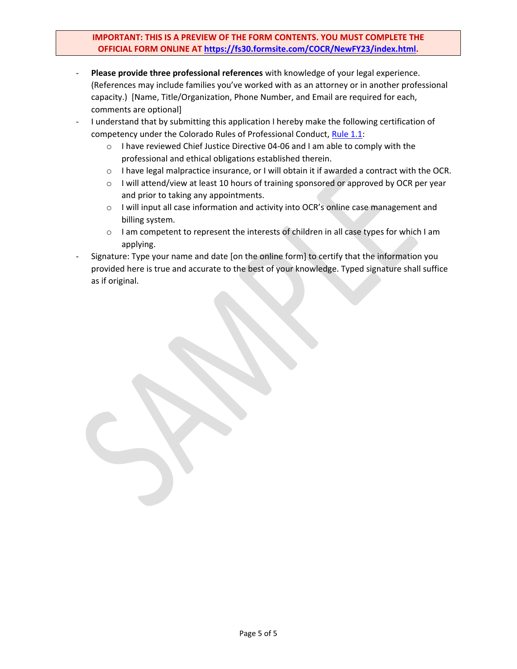# **IMPORTANT: THIS IS A PREVIEW OF THE FORM CONTENTS. YOU MUST COMPLETE THE OFFICIAL FORM ONLINE AT [https://fs30.formsite.com/COCR/NewFY23/index.html.](https://fs30.formsite.com/COCR/NewFY23/index.html)**

- **Please provide three professional references** with knowledge of your legal experience. (References may include families you've worked with as an attorney or in another professional capacity.) [Name, Title/Organization, Phone Number, and Email are required for each, comments are optional]
- I understand that by submitting this application I hereby make the following certification of competency under the Colorado Rules of Professional Conduct, [Rule 1.1:](http://www.cobar.org/For-Members/Opinions-Rules-Statutes/Rules-of-Professional-Conduct/Rule-11-Competence)
	- o I have reviewed Chief Justice Directive 04-06 and I am able to comply with the professional and ethical obligations established therein.
	- $\circ$  I have legal malpractice insurance, or I will obtain it if awarded a contract with the OCR.
	- o I will attend/view at least 10 hours of training sponsored or approved by OCR per year and prior to taking any appointments.
	- o I will input all case information and activity into OCR's online case management and billing system.
	- o I am competent to represent the interests of children in all case types for which I am applying.
- Signature: Type your name and date [on the online form] to certify that the information you provided here is true and accurate to the best of your knowledge. Typed signature shall suffice as if original.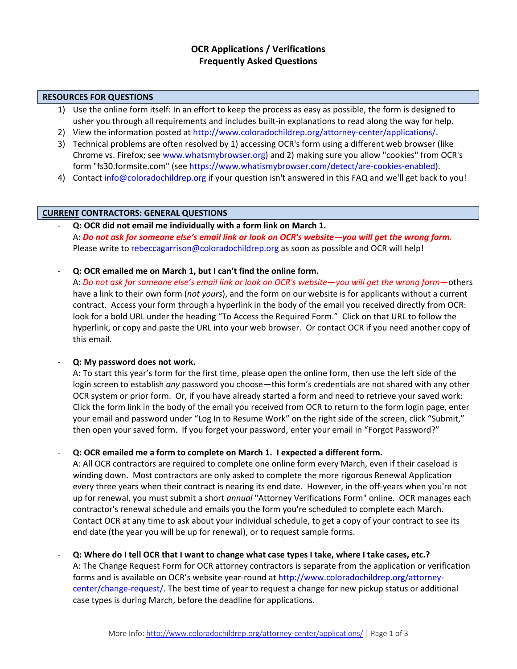# **OCR Applications / Verifications Frequently Asked Questions**

#### **RESOURCES FOR QUESTIONS**

- 1) Use the online form itself: In an effort to keep the process as easy as possible, the form is designed to usher you through all requirements and includes built-in explanations to read along the way for help.
- 2) View the information posted at [http://www.coloradochildrep.org/attorney-center/applications/.](http://www.coloradochildrep.org/attorney-center/applications/)
- 3) Technical problems are often resolved by 1) accessing OCR's form using a different web browser (like Chrome vs. Firefox; see [www.whatsmybrowser.org\)](http://www.whatsmybrowser.org/) and 2) making sure you allow "cookies" from OCR's form "fs30.formsite.com" (see [https://www.whatismybrowser.com/detect/are-cookies-enabled\)](https://www.whatismybrowser.com/detect/are-cookies-enabled).
- 4) Contac[t info@coloradochildrep.org](mailto:info@coloradochildrep.org) if your question isn't answered in this FAQ and we'll get back to you!

#### **CURRENT CONTRACTORS: GENERAL QUESTIONS**

- **Q: OCR did not email me individually with a form link on March 1.** A: *Do not ask for someone else's email link or look on OCR's website—you will get the wrong form.* Please write to [rebeccagarrison@coloradochildrep.org](mailto:rebeccagarrison@coloradochildrep.org) as soon as possible and OCR will help!
- **Q: OCR emailed me on March 1, but I can't find the online form.**

A: *Do not ask for someone else's email link or look on OCR's website—you will get the wrong form*—others have a link to their own form (*not yours*), and the form on our website is for applicants without a current contract. Access your form through a hyperlink in the body of the email you received directly from OCR: look for a bold URL under the heading "To Access the Required Form." Click on that URL to follow the hyperlink, or copy and paste the URL into your web browser. Or contact OCR if you need another copy of this email.

## - **Q: My password does not work.**

A: To start this year's form for the first time, please open the online form, then use the left side of the login screen to establish *any* password you choose—this form's credentials are not shared with any other OCR system or prior form. Or, if you have already started a form and need to retrieve your saved work: Click the form link in the body of the email you received from OCR to return to the form login page, enter your email and password under "Log In to Resume Work" on the right side of the screen, click "Submit," then open your saved form. If you forget your password, enter your email in "Forgot Password?"

## - **Q: OCR emailed me a form to complete on March 1. I expected a different form.**

A: All OCR contractors are required to complete one online form every March, even if their caseload is winding down. Most contractors are only asked to complete the more rigorous Renewal Application every three years when their contract is nearing its end date. However, in the off-years when you're not up for renewal, you must submit a short *annual* "Attorney Verifications Form" online. OCR manages each contractor's renewal schedule and emails you the form you're scheduled to complete each March. Contact OCR at any time to ask about your individual schedule, to get a copy of your contract to see its end date (the year you will be up for renewal), or to request sample forms.

## - **Q: Where do I tell OCR that I want to change what case types I take, where I take cases, etc.?**

A: The Change Request Form for OCR attorney contractors is separate from the application or verification forms and is available on OCR's website year-round at [http://www.coloradochildrep.org/attorney](http://www.coloradochildrep.org/attorney-center/change-request/)[center/change-request/.](http://www.coloradochildrep.org/attorney-center/change-request/) The best time of year to request a change for new pickup status or additional case types is during March, before the deadline for applications.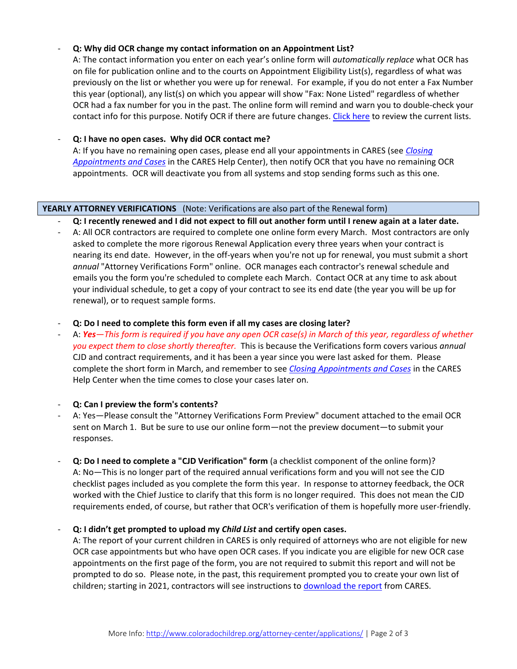# - **Q: Why did OCR change my contact information on an Appointment List?**

A: The contact information you enter on each year's online form will *automatically replace* what OCR has on file for publication online and to the courts on Appointment Eligibility List(s), regardless of what was previously on the list or whether you were up for renewal. For example, if you do not enter a Fax Number this year (optional), any list(s) on which you appear will show "Fax: None Listed" regardless of whether OCR had a fax number for you in the past. The online form will remind and warn you to double-check your contact info for this purpose. Notify OCR if there are future changes. [Click here](http://www.coloradochildrep.org/attorney-center/) to review the current lists.

# - **Q: I have no open cases. Why did OCR contact me?**

A: If you have no remaining open cases, please end all your appointments in CARES (see *[Closing](https://ocr.zendesk.com/hc/en-us/articles/360044229971-Closing-Appointments-and-Cases) [Appointments and Cases](https://ocr.zendesk.com/hc/en-us/articles/360044229971-Closing-Appointments-and-Cases)* in the CARES Help Center), then notify OCR that you have no remaining OCR appointments. OCR will deactivate you from all systems and stop sending forms such as this one.

#### **YEARLY ATTORNEY VERIFICATIONS** (Note: Verifications are also part of the Renewal form)

- **Q: I recently renewed and I did not expect to fill out another form until I renew again at a later date.**
- A: All OCR contractors are required to complete one online form every March. Most contractors are only asked to complete the more rigorous Renewal Application every three years when your contract is nearing its end date. However, in the off-years when you're not up for renewal, you must submit a short *annual* "Attorney Verifications Form" online. OCR manages each contractor's renewal schedule and emails you the form you're scheduled to complete each March. Contact OCR at any time to ask about your individual schedule, to get a copy of your contract to see its end date (the year you will be up for renewal), or to request sample forms.
- **Q: Do I need to complete this form even if all my cases are closing later?**
- A: *Yes—This form is required if you have any open OCR case(s) in March of this year, regardless of whether you expect them to close shortly thereafter.* This is because the Verifications form covers various *annual* CJD and contract requirements, and it has been a year since you were last asked for them. Please complete the short form in March, and remember to see *[Closing Appointments and Cases](https://ocr.zendesk.com/hc/en-us/articles/360044229971-Closing-Appointments-and-Cases)* in the CARES Help Center when the time comes to close your cases later on.

## - **Q: Can I preview the form's contents?**

- A: Yes—Please consult the "Attorney Verifications Form Preview" document attached to the email OCR sent on March 1. But be sure to use our online form—not the preview document—to submit your responses.
- **Q: Do I need to complete a "CJD Verification" form** (a checklist component of the online form)? A: No—This is no longer part of the required annual verifications form and you will not see the CJD checklist pages included as you complete the form this year. In response to attorney feedback, the OCR worked with the Chief Justice to clarify that this form is no longer required. This does not mean the CJD requirements ended, of course, but rather that OCR's verification of them is hopefully more user-friendly.

## - **Q: I didn't get prompted to upload my** *Child List* **and certify open cases.**

A: The report of your current children in CARES is only required of attorneys who are not eligible for new OCR case appointments but who have open OCR cases. If you indicate you are eligible for new OCR case appointments on the first page of the form, you are not required to submit this report and will not be prompted to do so. Please note, in the past, this requirement prompted you to create your own list of children; starting in 2021, contractors will see instructions to [download the report](https://ocr.zendesk.com/hc/en-us/articles/360044230751-Access-Reports) from CARES.